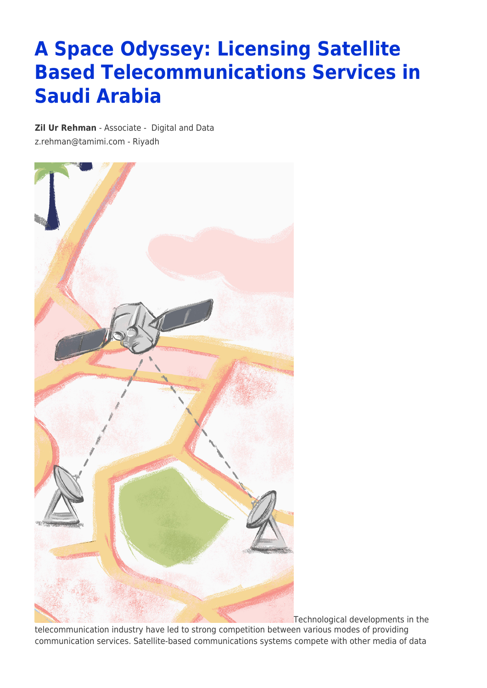# **A Space Odyssey: Licensing Satellite Based Telecommunications Services in Saudi Arabia**

**[Zil Ur Rehman](https://www.tamimi.com/find-a-lawyer/zil-ur-rehman/)** - Associate - [Digital and Data](https://www.tamimi.com/client-services/practices/digital-data/) [z.rehman@tamimi.com](mailto:z.rehman@tamimi.com) - [Riyadh](https://www.tamimi.com/locations/saudi-arabia/)



Technological developments in the

telecommunication industry have led to strong competition between various modes of providing communication services. Satellite-based communications systems compete with other media of data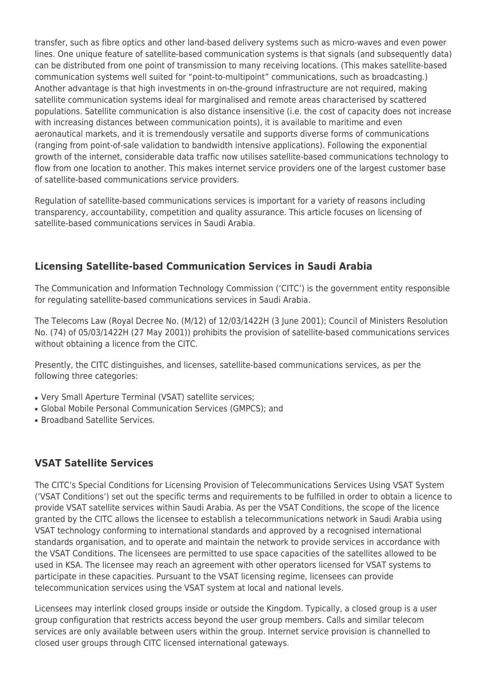transfer, such as fibre optics and other land-based delivery systems such as micro-waves and even power lines. One unique feature of satellite-based communication systems is that signals (and subsequently data) can be distributed from one point of transmission to many receiving locations. (This makes satellite-based communication systems well suited for "point-to-multipoint" communications, such as broadcasting.) Another advantage is that high investments in on-the-ground infrastructure are not required, making satellite communication systems ideal for marginalised and remote areas characterised by scattered populations. Satellite communication is also distance insensitive (i.e. the cost of capacity does not increase with increasing distances between communication points), it is available to maritime and even aeronautical markets, and it is tremendously versatile and supports diverse forms of communications (ranging from point-of-sale validation to bandwidth intensive applications). Following the exponential growth of the internet, considerable data traffic now utilises satellite-based communications technology to flow from one location to another. This makes internet service providers one of the largest customer base of satellite-based communications service providers.

Regulation of satellite-based communications services is important for a variety of reasons including transparency, accountability, competition and quality assurance. This article focuses on licensing of satellite-based communications services in Saudi Arabia.

## **Licensing Satellite-based Communication Services in Saudi Arabia**

The Communication and Information Technology Commission ('CITC') is the government entity responsible for regulating satellite-based communications services in Saudi Arabia.

The Telecoms Law (Royal Decree No. (M/12) of 12/03/1422H (3 June 2001); Council of Ministers Resolution No. (74) of 05/03/1422H (27 May 2001)) prohibits the provision of satellite-based communications services without obtaining a licence from the CITC.

Presently, the CITC distinguishes, and licenses, satellite-based communications services, as per the following three categories:

- Very Small Aperture Terminal (VSAT) satellite services:
- Global Mobile Personal Communication Services (GMPCS); and
- Broadband Satellite Services.

## **VSAT Satellite Services**

The CITC's Special Conditions for Licensing Provision of Telecommunications Services Using VSAT System ('VSAT Conditions') set out the specific terms and requirements to be fulfilled in order to obtain a licence to provide VSAT satellite services within Saudi Arabia. As per the VSAT Conditions, the scope of the licence granted by the CITC allows the licensee to establish a telecommunications network in Saudi Arabia using VSAT technology conforming to international standards and approved by a recognised international standards organisation, and to operate and maintain the network to provide services in accordance with the VSAT Conditions. The licensees are permitted to use space capacities of the satellites allowed to be used in KSA. The licensee may reach an agreement with other operators licensed for VSAT systems to participate in these capacities. Pursuant to the VSAT licensing regime, licensees can provide telecommunication services using the VSAT system at local and national levels.

Licensees may interlink closed groups inside or outside the Kingdom. Typically, a closed group is a user group configuration that restricts access beyond the user group members. Calls and similar telecom services are only available between users within the group. Internet service provision is channelled to closed user groups through CITC licensed international gateways.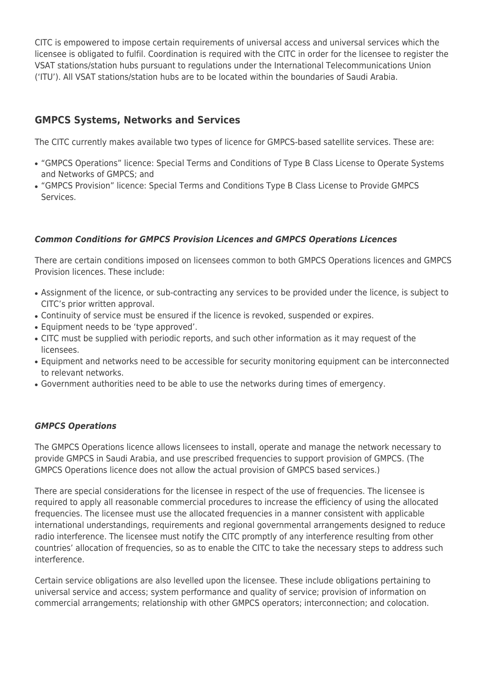CITC is empowered to impose certain requirements of universal access and universal services which the licensee is obligated to fulfil. Coordination is required with the CITC in order for the licensee to register the VSAT stations/station hubs pursuant to regulations under the International Telecommunications Union ('ITU'). All VSAT stations/station hubs are to be located within the boundaries of Saudi Arabia.

# **GMPCS Systems, Networks and Services**

The CITC currently makes available two types of licence for GMPCS-based satellite services. These are:

- "GMPCS Operations" licence: Special Terms and Conditions of Type B Class License to Operate Systems and Networks of GMPCS; and
- "GMPCS Provision" licence: Special Terms and Conditions Type B Class License to Provide GMPCS Services.

#### *Common Conditions for GMPCS Provision Licences and GMPCS Operations Licences*

There are certain conditions imposed on licensees common to both GMPCS Operations licences and GMPCS Provision licences. These include:

- Assignment of the licence, or sub-contracting any services to be provided under the licence, is subject to CITC's prior written approval.
- Continuity of service must be ensured if the licence is revoked, suspended or expires.
- Equipment needs to be 'type approved'.
- CITC must be supplied with periodic reports, and such other information as it may request of the licensees.
- Equipment and networks need to be accessible for security monitoring equipment can be interconnected to relevant networks.
- Government authorities need to be able to use the networks during times of emergency.

#### *GMPCS Operations*

The GMPCS Operations licence allows licensees to install, operate and manage the network necessary to provide GMPCS in Saudi Arabia, and use prescribed frequencies to support provision of GMPCS. (The GMPCS Operations licence does not allow the actual provision of GMPCS based services.)

There are special considerations for the licensee in respect of the use of frequencies. The licensee is required to apply all reasonable commercial procedures to increase the efficiency of using the allocated frequencies. The licensee must use the allocated frequencies in a manner consistent with applicable international understandings, requirements and regional governmental arrangements designed to reduce radio interference. The licensee must notify the CITC promptly of any interference resulting from other countries' allocation of frequencies, so as to enable the CITC to take the necessary steps to address such interference.

Certain service obligations are also levelled upon the licensee. These include obligations pertaining to universal service and access; system performance and quality of service; provision of information on commercial arrangements; relationship with other GMPCS operators; interconnection; and colocation.